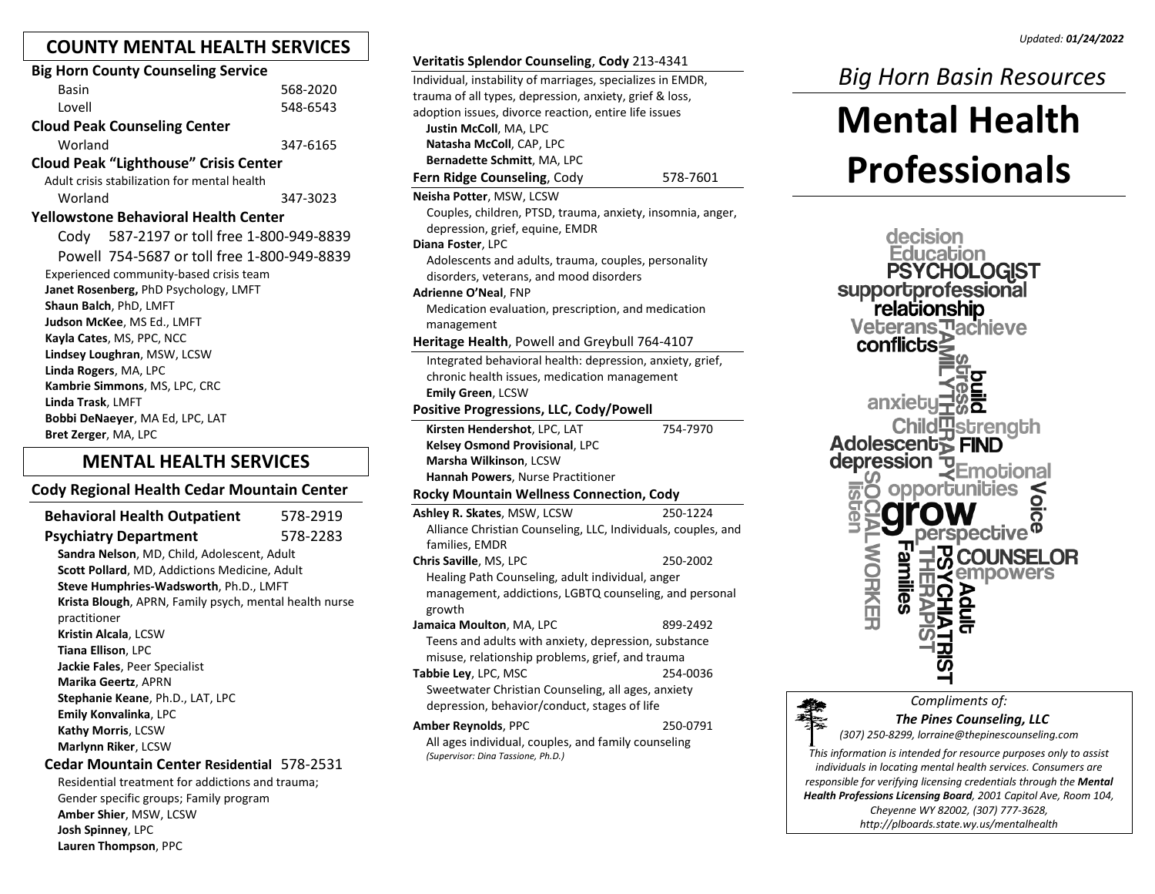# **COUNTY MENTAL HEALTH SERVICES**

| <b>Big Horn County Counseling Service</b>          |          |
|----------------------------------------------------|----------|
| <b>Basin</b>                                       | 568-2020 |
| I ovell                                            | 548-6543 |
| <b>Cloud Peak Counseling Center</b>                |          |
| Worland                                            | 347-6165 |
| <b>Cloud Peak "Lighthouse" Crisis Center</b>       |          |
| Adult crisis stabilization for mental health       |          |
| Worland                                            | 347-3023 |
| <b>Yellowstone Behavioral Health Center</b>        |          |
| Cody 587-2197 or toll free 1-800-949-8839          |          |
| Powell 754-5687 or toll free 1-800-949-8839        |          |
| Experienced community-based crisis team            |          |
| Janet Rosenberg, PhD Psychology, LMFT              |          |
| Shaun Balch, PhD, LMFT                             |          |
| Judson McKee, MS Ed., LMFT                         |          |
| Kayla Cates, MS, PPC, NCC                          |          |
| Lindsey Loughran, MSW, LCSW                        |          |
| Linda Rogers, MA, LPC                              |          |
| Kambrie Simmons, MS, LPC, CRC<br>Linda Trask, LMFT |          |
| <b>Bobbi DeNaeyer, MA Ed, LPC, LAT</b>             |          |
| Bret Zerger, MA, LPC                               |          |
|                                                    |          |

# **MENTAL HEALTH SERVICES**

## **Cody Regional Health Cedar Mountain Center**

**Behavioral Health Outpatient** 578-2919 **Psychiatry Department** 578-2283 **Sandra Nelson**, MD, Child, Adolescent, Adult **Scott Pollard**, MD, Addictions Medicine, Adult **Steve Humphries-Wadsworth**, Ph.D., LMFT **Krista Blough**, APRN, Family psych, mental health nurse practitioner **Kristin Alcala**, LCSW **Tiana Ellison**, LPC **Jackie Fales**, Peer Specialist **Marika Geertz**, APRN **Stephanie Keane**, Ph.D., LAT, LPC **Emily Konvalinka**, LPC **Kathy Morris**, LCSW **Marlynn Riker**, LCSW **Cedar Mountain Center Residential** 578-2531

Residential treatment for addictions and trauma; Gender specific groups; Family program **Amber Shier**, MSW, LCSW **Josh Spinney**, LPC **Lauren Thompson**, PPC

| Individual, instability of marriages, specializes in EMDR,    |          |
|---------------------------------------------------------------|----------|
| trauma of all types, depression, anxiety, grief & loss,       |          |
| adoption issues, divorce reaction, entire life issues         |          |
| Justin McColl, MA, LPC                                        |          |
| Natasha McColl, CAP, LPC                                      |          |
| Bernadette Schmitt, MA, LPC                                   |          |
| Fern Ridge Counseling, Cody                                   | 578-7601 |
| Neisha Potter, MSW, LCSW                                      |          |
| Couples, children, PTSD, trauma, anxiety, insomnia, anger,    |          |
| depression, grief, equine, EMDR                               |          |
| Diana Foster, LPC                                             |          |
| Adolescents and adults, trauma, couples, personality          |          |
| disorders, veterans, and mood disorders                       |          |
| Adrienne O'Neal, FNP                                          |          |
| Medication evaluation, prescription, and medication           |          |
| management                                                    |          |
| Heritage Health, Powell and Greybull 764-4107                 |          |
| Integrated behavioral health: depression, anxiety, grief,     |          |
| chronic health issues, medication management                  |          |
| Emily Green, LCSW                                             |          |
| <b>Positive Progressions, LLC, Cody/Powell</b>                |          |
| Kirsten Hendershot, LPC, LAT                                  | 754-7970 |
| Kelsey Osmond Provisional, LPC                                |          |
| Marsha Wilkinson, LCSW                                        |          |
| Hannah Powers, Nurse Practitioner                             |          |
| <b>Rocky Mountain Wellness Connection, Cody</b>               |          |
| Ashley R. Skates, MSW, LCSW                                   | 250-1224 |
| Alliance Christian Counseling, LLC, Individuals, couples, and |          |
| families, EMDR                                                |          |
| Chris Saville, MS, LPC                                        | 250-2002 |
| Healing Path Counseling, adult individual, anger              |          |
| management, addictions, LGBTQ counseling, and personal        |          |
| growth                                                        |          |
| Jamaica Moulton, MA, LPC                                      | 899-2492 |
| Teens and adults with anxiety, depression, substance          |          |
| misuse, relationship problems, grief, and trauma              |          |
| <b>Tabbie Ley, LPC, MSC</b>                                   | 254-0036 |
| Sweetwater Christian Counseling, all ages, anxiety            |          |
| depression, behavior/conduct, stages of life                  |          |
| <b>Amber Reynolds, PPC</b>                                    | 250-0791 |
| All ages individual, couples, and family counseling           |          |
| (Supervisor: Dina Tassione, Ph.D.)                            |          |
|                                                               |          |
|                                                               |          |

**Veritatis Splendor Counseling**, **Cody** 213-4341

# *Big Horn Basin Resources*

# **Mental Health Professionals**





## *Compliments of: The Pines Counseling, LLC*

*(307) 250-8299[, lorraine@thepinescounseling.com](http://www.pvhc.org/)*

*This information is intended for resource purposes only to assist individuals in locating mental health services. Consumers are responsible for verifying licensing credentials through the Mental Health Professions Licensing Board, 2001 Capitol Ave, Room 104, Cheyenne WY 82002, (307) 777-3628, http://plboards.state.wy.us/mentalhealth*